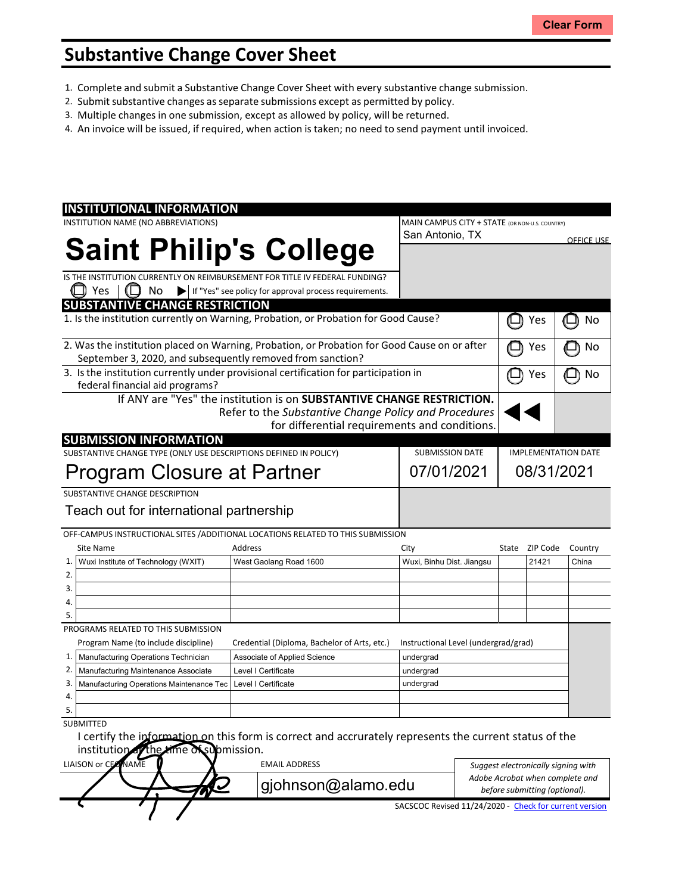# **Substantive Change Cover Sheet**

- 1. Complete and submit a Substantive Change Cover Sheet with every substantive change submission.
- 2. Submit substantive changes asseparate submissions except as permitted by policy.
- 3. Multiple changes in one submission, except as allowed by policy, will be returned.
- 4. An invoice will be issued, if required, when action is taken; no need to send payment until invoiced.

|                                                                                              | <b>INSTITUTIONAL INFORMATION</b>            |                                                                                                        |                                                        |                                     |                            |                |                                 |
|----------------------------------------------------------------------------------------------|---------------------------------------------|--------------------------------------------------------------------------------------------------------|--------------------------------------------------------|-------------------------------------|----------------------------|----------------|---------------------------------|
|                                                                                              | INSTITUTION NAME (NO ABBREVIATIONS)         | MAIN CAMPUS CITY + STATE (OR NON-U.S. COUNTRY)                                                         |                                                        |                                     |                            |                |                                 |
|                                                                                              |                                             |                                                                                                        | San Antonio, TX                                        |                                     |                            |                | <b>OFFICE USE</b>               |
|                                                                                              | <b>Saint Philip's College</b>               |                                                                                                        |                                                        |                                     |                            |                |                                 |
|                                                                                              |                                             |                                                                                                        |                                                        |                                     |                            |                |                                 |
|                                                                                              |                                             | IS THE INSTITUTION CURRENTLY ON REIMBURSEMENT FOR TITLE IV FEDERAL FUNDING?                            |                                                        |                                     |                            |                |                                 |
|                                                                                              | Yes<br>No                                   | If "Yes" see policy for approval process requirements.                                                 |                                                        |                                     |                            |                |                                 |
|                                                                                              | <b>SUBSTANTIVE CHANGE RESTRICTION</b>       |                                                                                                        |                                                        |                                     |                            |                |                                 |
| 1. Is the institution currently on Warning, Probation, or Probation for Good Cause?          |                                             |                                                                                                        |                                                        |                                     |                            | Yes            | No                              |
|                                                                                              |                                             |                                                                                                        |                                                        |                                     |                            |                |                                 |
| 2. Was the institution placed on Warning, Probation, or Probation for Good Cause on or after |                                             |                                                                                                        |                                                        |                                     |                            | Yes            | No                              |
| September 3, 2020, and subsequently removed from sanction?                                   |                                             |                                                                                                        |                                                        |                                     |                            |                |                                 |
| 3. Is the institution currently under provisional certification for participation in         |                                             |                                                                                                        |                                                        |                                     |                            | Yes            | No                              |
| federal financial aid programs?                                                              |                                             |                                                                                                        |                                                        |                                     |                            |                |                                 |
| If ANY are "Yes" the institution is on SUBSTANTIVE CHANGE RESTRICTION.                       |                                             |                                                                                                        |                                                        |                                     |                            |                |                                 |
| Refer to the Substantive Change Policy and Procedures                                        |                                             |                                                                                                        |                                                        |                                     |                            |                |                                 |
|                                                                                              |                                             | for differential requirements and conditions.                                                          |                                                        |                                     |                            |                |                                 |
|                                                                                              | <b>SUBMISSION INFORMATION</b>               |                                                                                                        |                                                        |                                     |                            |                |                                 |
| SUBSTANTIVE CHANGE TYPE (ONLY USE DESCRIPTIONS DEFINED IN POLICY)<br><b>SUBMISSION DATE</b>  |                                             |                                                                                                        |                                                        |                                     | <b>IMPLEMENTATION DATE</b> |                |                                 |
| Program Closure at Partner                                                                   |                                             |                                                                                                        |                                                        | 07/01/2021<br>08/31/2021            |                            |                |                                 |
| SUBSTANTIVE CHANGE DESCRIPTION                                                               |                                             |                                                                                                        |                                                        |                                     |                            |                |                                 |
| Teach out for international partnership                                                      |                                             |                                                                                                        |                                                        |                                     |                            |                |                                 |
|                                                                                              |                                             |                                                                                                        |                                                        |                                     |                            |                |                                 |
|                                                                                              |                                             | OFF-CAMPUS INSTRUCTIONAL SITES / ADDITIONAL LOCATIONS RELATED TO THIS SUBMISSION                       |                                                        |                                     |                            |                |                                 |
|                                                                                              | Site Name                                   | Address                                                                                                | City                                                   |                                     |                            | State ZIP Code | Country                         |
| 1.                                                                                           | Wuxi Institute of Technology (WXIT)         | West Gaolang Road 1600                                                                                 | Wuxi, Binhu Dist. Jiangsu                              |                                     |                            | 21421          | China                           |
| 2.                                                                                           |                                             |                                                                                                        |                                                        |                                     |                            |                |                                 |
| 3.                                                                                           |                                             |                                                                                                        |                                                        |                                     |                            |                |                                 |
| 4.                                                                                           |                                             |                                                                                                        |                                                        |                                     |                            |                |                                 |
| 5.                                                                                           |                                             |                                                                                                        |                                                        |                                     |                            |                |                                 |
|                                                                                              | PROGRAMS RELATED TO THIS SUBMISSION         |                                                                                                        |                                                        |                                     |                            |                |                                 |
|                                                                                              | Program Name (to include discipline)        | Credential (Diploma, Bachelor of Arts, etc.)                                                           | Instructional Level (undergrad/grad)                   |                                     |                            |                |                                 |
| 1.                                                                                           | Manufacturing Operations Technician         | Associate of Applied Science                                                                           | undergrad                                              |                                     |                            |                |                                 |
| 2.                                                                                           | Manufacturing Maintenance Associate         | Level I Certificate                                                                                    | undergrad                                              |                                     |                            |                |                                 |
| 3.                                                                                           | Manufacturing Operations Maintenance Tec    | Level I Certificate                                                                                    | undergrad                                              |                                     |                            |                |                                 |
| 4.                                                                                           |                                             |                                                                                                        |                                                        |                                     |                            |                |                                 |
| 5.                                                                                           |                                             |                                                                                                        |                                                        |                                     |                            |                |                                 |
|                                                                                              | <b>SUBMITTED</b>                            |                                                                                                        |                                                        |                                     |                            |                |                                 |
|                                                                                              |                                             | I certify the information on this form is correct and accrurately represents the current status of the |                                                        |                                     |                            |                |                                 |
|                                                                                              | institution of the time of submission.      |                                                                                                        |                                                        |                                     |                            |                |                                 |
|                                                                                              | LIAISON or CECINAME<br><b>EMAIL ADDRESS</b> |                                                                                                        |                                                        | Suggest electronically signing with |                            |                |                                 |
|                                                                                              | gjohnson@alamo.edu                          |                                                                                                        |                                                        |                                     |                            |                | Adobe Acrobat when complete and |
|                                                                                              | before submitting (optional).               |                                                                                                        |                                                        |                                     |                            |                |                                 |
|                                                                                              |                                             |                                                                                                        | SACSCOC Revised 11/24/2020 - Check for current version |                                     |                            |                |                                 |

 $\leftarrow$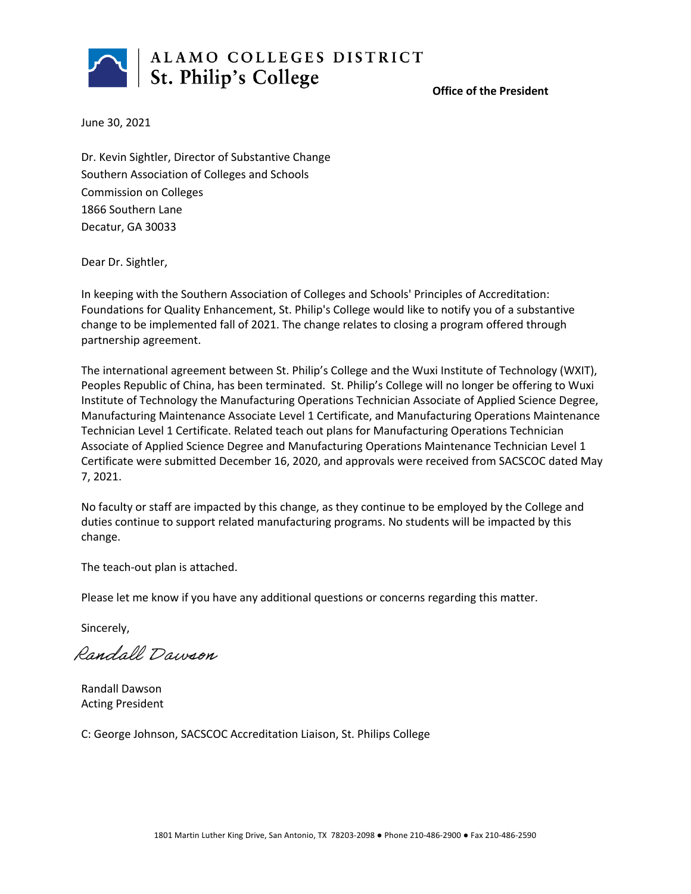

#### **Office of the President**

June 30, 2021

Dr. Kevin Sightler, Director of Substantive Change Southern Association of Colleges and Schools Commission on Colleges 1866 Southern Lane Decatur, GA 30033

Dear Dr. Sightler,

In keeping with the Southern Association of Colleges and Schools' Principles of Accreditation: Foundations for Quality Enhancement, St. Philip's College would like to notify you of a substantive change to be implemented fall of 2021. The change relates to closing a program offered through partnership agreement.

The international agreement between St. Philip's College and the Wuxi Institute of Technology (WXIT), Peoples Republic of China, has been terminated. St. Philip's College will no longer be offering to Wuxi Institute of Technology the Manufacturing Operations Technician Associate of Applied Science Degree, Manufacturing Maintenance Associate Level 1 Certificate, and Manufacturing Operations Maintenance Technician Level 1 Certificate. Related teach out plans for Manufacturing Operations Technician Associate of Applied Science Degree and Manufacturing Operations Maintenance Technician Level 1 Certificate were submitted December 16, 2020, and approvals were received from SACSCOC dated May 7, 2021.

No faculty or staff are impacted by this change, as they continue to be employed by the College and duties continue to support related manufacturing programs. No students will be impacted by this change.

The teach-out plan is attached.

Please let me know if you have any additional questions or concerns regarding this matter.

Sincerely,

Randall Dawson

Randall Dawson Acting President

C: George Johnson, SACSCOC Accreditation Liaison, St. Philips College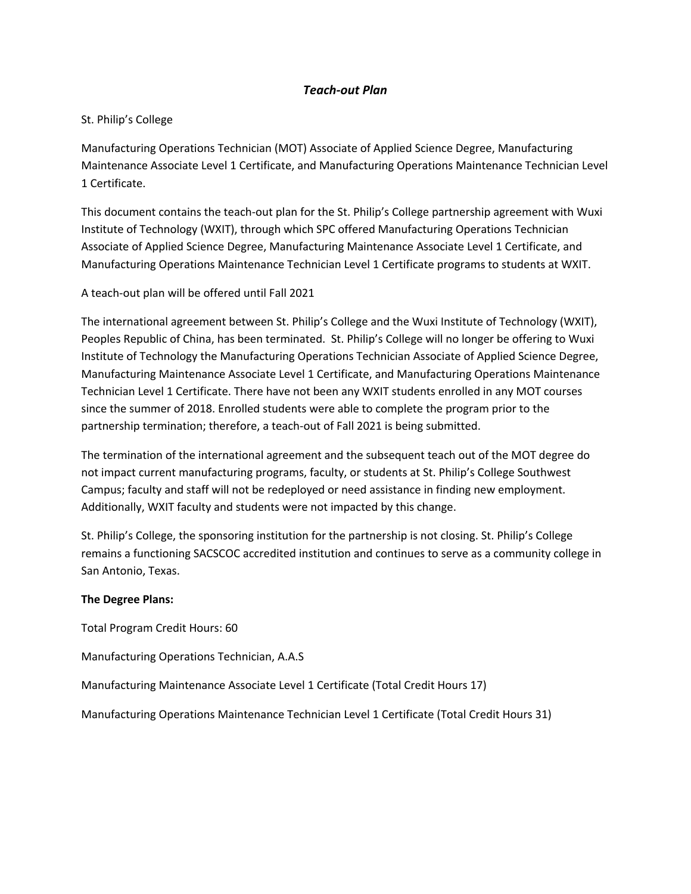# *Teach-out Plan*

# St. Philip's College

Manufacturing Operations Technician (MOT) Associate of Applied Science Degree, Manufacturing Maintenance Associate Level 1 Certificate, and Manufacturing Operations Maintenance Technician Level 1 Certificate.

This document contains the teach-out plan for the St. Philip's College partnership agreement with Wuxi Institute of Technology (WXIT), through which SPC offered Manufacturing Operations Technician Associate of Applied Science Degree, Manufacturing Maintenance Associate Level 1 Certificate, and Manufacturing Operations Maintenance Technician Level 1 Certificate programs to students at WXIT.

A teach-out plan will be offered until Fall 2021

The international agreement between St. Philip's College and the Wuxi Institute of Technology (WXIT), Peoples Republic of China, has been terminated. St. Philip's College will no longer be offering to Wuxi Institute of Technology the Manufacturing Operations Technician Associate of Applied Science Degree, Manufacturing Maintenance Associate Level 1 Certificate, and Manufacturing Operations Maintenance Technician Level 1 Certificate. There have not been any WXIT students enrolled in any MOT courses since the summer of 2018. Enrolled students were able to complete the program prior to the partnership termination; therefore, a teach-out of Fall 2021 is being submitted.

The termination of the international agreement and the subsequent teach out of the MOT degree do not impact current manufacturing programs, faculty, or students at St. Philip's College Southwest Campus; faculty and staff will not be redeployed or need assistance in finding new employment. Additionally, WXIT faculty and students were not impacted by this change.

St. Philip's College, the sponsoring institution for the partnership is not closing. St. Philip's College remains a functioning SACSCOC accredited institution and continues to serve as a community college in San Antonio, Texas.

# **The Degree Plans:**

Total Program Credit Hours: 60

Manufacturing Operations Technician, A.A.S

Manufacturing Maintenance Associate Level 1 Certificate (Total Credit Hours 17)

Manufacturing Operations Maintenance Technician Level 1 Certificate (Total Credit Hours 31)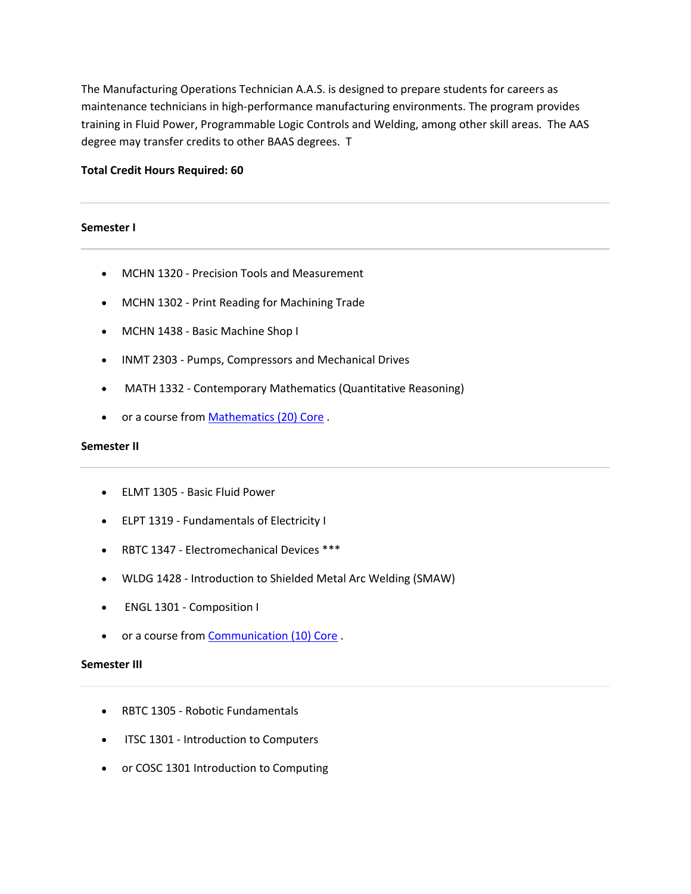The Manufacturing Operations Technician A.A.S. is designed to prepare students for careers as maintenance technicians in high-performance manufacturing environments. The program provides training in Fluid Power, Programmable Logic Controls and Welding, among other skill areas. The AAS degree may transfer credits to other BAAS degrees. T

## **Total Credit Hours Required: 60**

#### **Semester I**

- MCHN 1320 Precision Tools and Measurement
- MCHN 1302 Print Reading for Machining Trade
- MCHN 1438 Basic Machine Shop I
- INMT 2303 Pumps, Compressors and Mechanical Drives
- MATH 1332 Contemporary Mathematics (Quantitative Reasoning)
- or a course from Mathematics (20) Core .

#### **Semester II**

- ELMT 1305 Basic Fluid Power
- ELPT 1319 Fundamentals of Electricity I
- RBTC 1347 Electromechanical Devices \*\*\*
- WLDG 1428 Introduction to Shielded Metal Arc Welding (SMAW)
- ENGL 1301 Composition I
- or a course from Communication (10) Core.

#### **Semester III**

- RBTC 1305 Robotic Fundamentals
- ITSC 1301 Introduction to Computers
- or COSC 1301 Introduction to Computing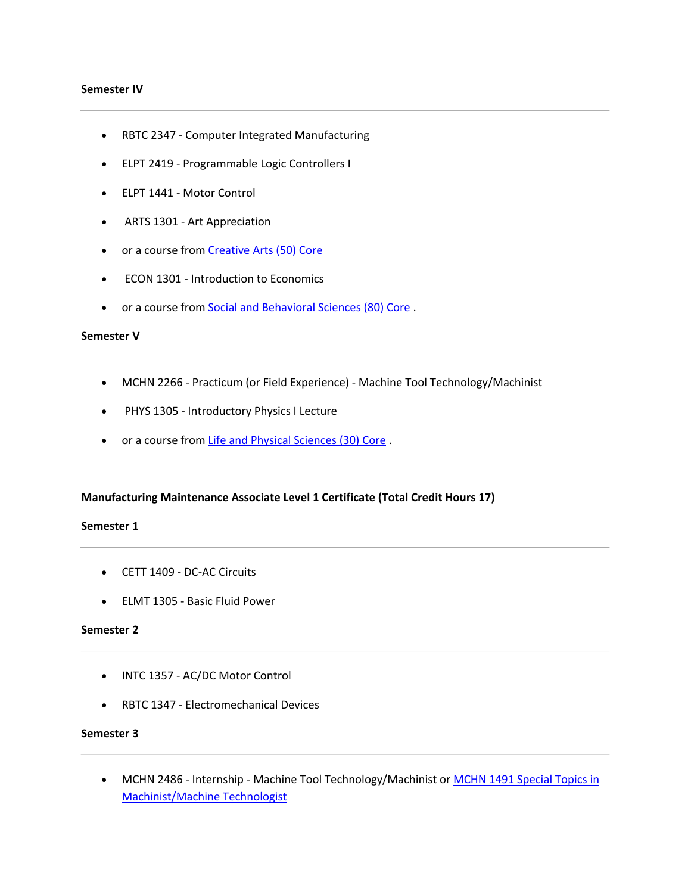#### **Semester IV**

- RBTC 2347 Computer Integrated Manufacturing
- ELPT 2419 Programmable Logic Controllers I
- ELPT 1441 Motor Control
- ARTS 1301 Art Appreciation
- or a course from Creative Arts (50) Core
- ECON 1301 Introduction to Economics
- or a course from Social and Behavioral Sciences (80) Core .

#### **Semester V**

- MCHN 2266 Practicum (or Field Experience) Machine Tool Technology/Machinist
- PHYS 1305 Introductory Physics I Lecture
- or a course from Life and Physical Sciences (30) Core .

#### **Manufacturing Maintenance Associate Level 1 Certificate (Total Credit Hours 17)**

#### **Semester 1**

- CETT 1409 DC-AC Circuits
- ELMT 1305 Basic Fluid Power

## **Semester 2**

- INTC 1357 AC/DC Motor Control
- RBTC 1347 Electromechanical Devices

# **Semester 3**

• MCHN 2486 - Internship - Machine Tool Technology/Machinist or MCHN 1491 Special Topics in Machinist/Machine Technologist